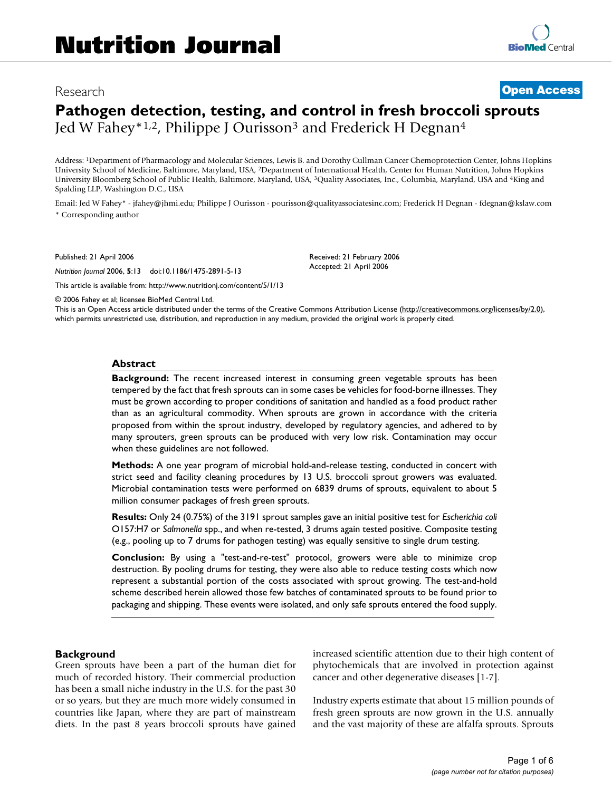# Research **[Open Access](http://www.biomedcentral.com/info/about/charter/) Pathogen detection, testing, and control in fresh broccoli sprouts** Jed W Fahey\*<sup>1,2</sup>, Philippe J Ourisson<sup>3</sup> and Frederick H Degnan<sup>4</sup>

Address: 1Department of Pharmacology and Molecular Sciences, Lewis B. and Dorothy Cullman Cancer Chemoprotection Center, Johns Hopkins University School of Medicine, Baltimore, Maryland, USA, 2Department of International Health, Center for Human Nutrition, Johns Hopkins University Bloomberg School of Public Health, Baltimore, Maryland, USA, 3Quality Associates, Inc., Columbia, Maryland, USA and 4King and Spalding LLP, Washington D.C., USA

Email: Jed W Fahey\* - jfahey@jhmi.edu; Philippe J Ourisson - pourisson@qualityassociatesinc.com; Frederick H Degnan - fdegnan@kslaw.com \* Corresponding author

Published: 21 April 2006

*Nutrition Journal* 2006, **5**:13 doi:10.1186/1475-2891-5-13

[This article is available from: http://www.nutritionj.com/content/5/1/13](http://www.nutritionj.com/content/5/1/13)

Received: 21 February 2006 Accepted: 21 April 2006

© 2006 Fahey et al; licensee BioMed Central Ltd.

This is an Open Access article distributed under the terms of the Creative Commons Attribution License [\(http://creativecommons.org/licenses/by/2.0\)](http://creativecommons.org/licenses/by/2.0), which permits unrestricted use, distribution, and reproduction in any medium, provided the original work is properly cited.

### **Abstract**

**Background:** The recent increased interest in consuming green vegetable sprouts has been tempered by the fact that fresh sprouts can in some cases be vehicles for food-borne illnesses. They must be grown according to proper conditions of sanitation and handled as a food product rather than as an agricultural commodity. When sprouts are grown in accordance with the criteria proposed from within the sprout industry, developed by regulatory agencies, and adhered to by many sprouters, green sprouts can be produced with very low risk. Contamination may occur when these guidelines are not followed.

**Methods:** A one year program of microbial hold-and-release testing, conducted in concert with strict seed and facility cleaning procedures by 13 U.S. broccoli sprout growers was evaluated. Microbial contamination tests were performed on 6839 drums of sprouts, equivalent to about 5 million consumer packages of fresh green sprouts.

**Results:** Only 24 (0.75%) of the 3191 sprout samples gave an initial positive test for *Escherichia coli* O157:H7 or *Salmonella* spp., and when re-tested, 3 drums again tested positive. Composite testing (e.g., pooling up to 7 drums for pathogen testing) was equally sensitive to single drum testing.

**Conclusion:** By using a "test-and-re-test" protocol, growers were able to minimize crop destruction. By pooling drums for testing, they were also able to reduce testing costs which now represent a substantial portion of the costs associated with sprout growing. The test-and-hold scheme described herein allowed those few batches of contaminated sprouts to be found prior to packaging and shipping. These events were isolated, and only safe sprouts entered the food supply.

## **Background**

Green sprouts have been a part of the human diet for much of recorded history. Their commercial production has been a small niche industry in the U.S. for the past 30 or so years, but they are much more widely consumed in countries like Japan, where they are part of mainstream diets. In the past 8 years broccoli sprouts have gained increased scientific attention due to their high content of phytochemicals that are involved in protection against cancer and other degenerative diseases [1-7].

Industry experts estimate that about 15 million pounds of fresh green sprouts are now grown in the U.S. annually and the vast majority of these are alfalfa sprouts. Sprouts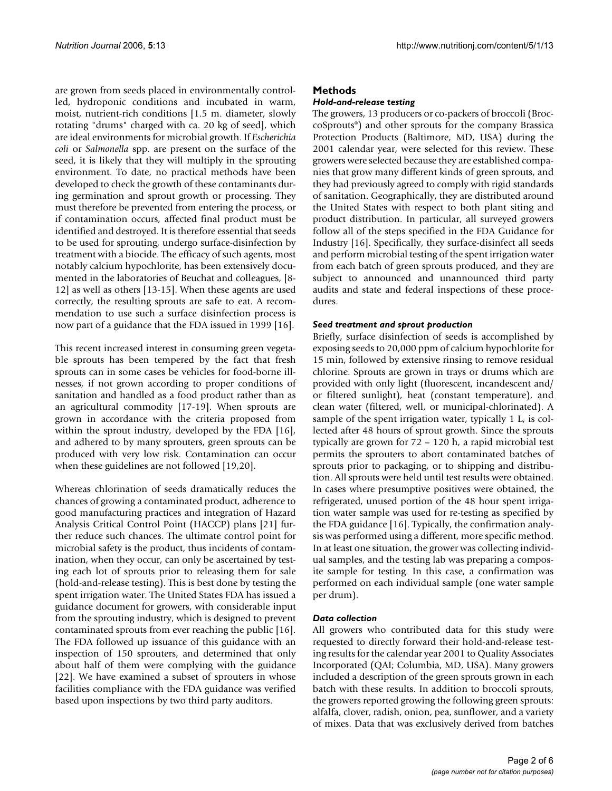are grown from seeds placed in environmentally controlled, hydroponic conditions and incubated in warm, moist, nutrient-rich conditions [1.5 m. diameter, slowly rotating "drums" charged with ca. 20 kg of seed], which are ideal environments for microbial growth. If *Escherichia coli* or *Salmonella* spp. are present on the surface of the seed, it is likely that they will multiply in the sprouting environment. To date, no practical methods have been developed to check the growth of these contaminants during germination and sprout growth or processing. They must therefore be prevented from entering the process, or if contamination occurs, affected final product must be identified and destroyed. It is therefore essential that seeds to be used for sprouting, undergo surface-disinfection by treatment with a biocide. The efficacy of such agents, most notably calcium hypochlorite, has been extensively documented in the laboratories of Beuchat and colleagues, [8- 12] as well as others [13-15]. When these agents are used correctly, the resulting sprouts are safe to eat. A recommendation to use such a surface disinfection process is now part of a guidance that the FDA issued in 1999 [16].

This recent increased interest in consuming green vegetable sprouts has been tempered by the fact that fresh sprouts can in some cases be vehicles for food-borne illnesses, if not grown according to proper conditions of sanitation and handled as a food product rather than as an agricultural commodity [17-19]. When sprouts are grown in accordance with the criteria proposed from within the sprout industry, developed by the FDA [16], and adhered to by many sprouters, green sprouts can be produced with very low risk. Contamination can occur when these guidelines are not followed [19,20].

Whereas chlorination of seeds dramatically reduces the chances of growing a contaminated product, adherence to good manufacturing practices and integration of Hazard Analysis Critical Control Point (HACCP) plans [21] further reduce such chances. The ultimate control point for microbial safety is the product, thus incidents of contamination, when they occur, can only be ascertained by testing each lot of sprouts prior to releasing them for sale (hold-and-release testing). This is best done by testing the spent irrigation water. The United States FDA has issued a guidance document for growers, with considerable input from the sprouting industry, which is designed to prevent contaminated sprouts from ever reaching the public [16]. The FDA followed up issuance of this guidance with an inspection of 150 sprouters, and determined that only about half of them were complying with the guidance [22]. We have examined a subset of sprouters in whose facilities compliance with the FDA guidance was verified based upon inspections by two third party auditors.

# **Methods**

# *Hold-and-release testing*

The growers, 13 producers or co-packers of broccoli (BroccoSprouts®) and other sprouts for the company Brassica Protection Products (Baltimore, MD, USA) during the 2001 calendar year, were selected for this review. These growers were selected because they are established companies that grow many different kinds of green sprouts, and they had previously agreed to comply with rigid standards of sanitation. Geographically, they are distributed around the United States with respect to both plant siting and product distribution. In particular, all surveyed growers follow all of the steps specified in the FDA Guidance for Industry [16]. Specifically, they surface-disinfect all seeds and perform microbial testing of the spent irrigation water from each batch of green sprouts produced, and they are subject to announced and unannounced third party audits and state and federal inspections of these procedures.

# *Seed treatment and sprout production*

Briefly, surface disinfection of seeds is accomplished by exposing seeds to 20,000 ppm of calcium hypochlorite for 15 min, followed by extensive rinsing to remove residual chlorine. Sprouts are grown in trays or drums which are provided with only light (fluorescent, incandescent and/ or filtered sunlight), heat (constant temperature), and clean water (filtered, well, or municipal-chlorinated). A sample of the spent irrigation water, typically 1 L, is collected after 48 hours of sprout growth. Since the sprouts typically are grown for 72 – 120 h, a rapid microbial test permits the sprouters to abort contaminated batches of sprouts prior to packaging, or to shipping and distribution. All sprouts were held until test results were obtained. In cases where presumptive positives were obtained, the refrigerated, unused portion of the 48 hour spent irrigation water sample was used for re-testing as specified by the FDA guidance [16]. Typically, the confirmation analysis was performed using a different, more specific method. In at least one situation, the grower was collecting individual samples, and the testing lab was preparing a composite sample for testing. In this case, a confirmation was performed on each individual sample (one water sample per drum).

# *Data collection*

All growers who contributed data for this study were requested to directly forward their hold-and-release testing results for the calendar year 2001 to Quality Associates Incorporated (QAI; Columbia, MD, USA). Many growers included a description of the green sprouts grown in each batch with these results. In addition to broccoli sprouts, the growers reported growing the following green sprouts: alfalfa, clover, radish, onion, pea, sunflower, and a variety of mixes. Data that was exclusively derived from batches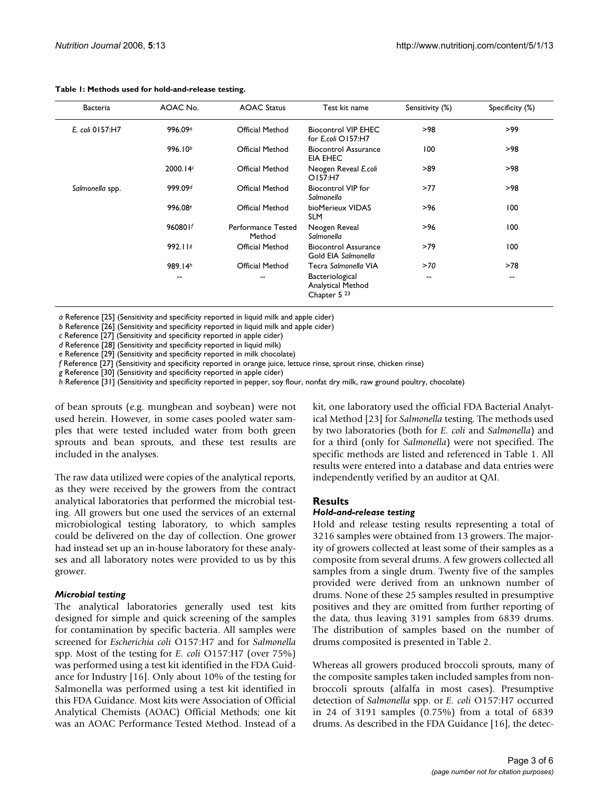| <b>Bacteria</b> | AOAC No.            | <b>AOAC Status</b>           | Test kit name                                                   | Sensitivity (%) | Specificity (%) |
|-----------------|---------------------|------------------------------|-----------------------------------------------------------------|-----------------|-----------------|
| E. coli 0157:H7 | 996.09 <sup>a</sup> | Official Method              | Biocontrol VIP EHEC<br>for E.coli O157:H7                       | >98             | >99             |
|                 | 996.10 <sup>b</sup> | Official Method              | <b>Biocontrol Assurance</b><br><b>EIA EHEC</b>                  | 100             | >98             |
|                 | 2000.14c            | Official Method              | Neogen Reveal E.coli<br>O157:H7                                 | >89             | >98             |
| Salmonella spp. | 999.09d             | Official Method              | <b>Biocontrol VIP for</b><br>Salmonella                         | >77             | >98             |
|                 | 996.08 <sup>e</sup> | Official Method              | bioMerieux VIDAS<br><b>SLM</b>                                  | >96             | 100             |
|                 | 960801f             | Performance Tested<br>Method | Neogen Reveal<br>Salmonella                                     | >96             | 100             |
|                 | 992.118             | Official Method              | <b>Biocontrol Assurance</b><br>Gold EIA Salmonella              | >79             | 100             |
|                 | 989.14h             | Official Method              | Tecra Salmonella VIA                                            | >70             | >78             |
|                 | $- -$               | --                           | Bacteriological<br>Analytical Method<br>Chapter 5 <sup>23</sup> | $- -$           | $- -$           |

#### **Table 1: Methods used for hold-and-release testing.**

*a* Reference [25] (Sensitivity and specificity reported in liquid milk and apple cider)

*b* Reference [26] (Sensitivity and specificity reported in liquid milk and apple cider)

*c* Reference [27] (Sensitivity and specificity reported in apple cider)

*d* Reference [28] (Sensitivity and specificity reported in liquid milk)

*e* Reference [29] (Sensitivity and specificity reported in milk chocolate)

*f* Reference [27] (Sensitivity and specificity reported in orange juice, lettuce rinse, sprout rinse, chicken rinse)

*g* Reference [30] (Sensitivity and specificity reported in apple cider)

*h* Reference [31] (Sensitivity and specificity reported in pepper, soy flour, nonfat dry milk, raw ground poultry, chocolate)

of bean sprouts (e.g. mungbean and soybean) were not used herein. However, in some cases pooled water samples that were tested included water from both green sprouts and bean sprouts, and these test results are included in the analyses.

The raw data utilized were copies of the analytical reports, as they were received by the growers from the contract analytical laboratories that performed the microbial testing. All growers but one used the services of an external microbiological testing laboratory, to which samples could be delivered on the day of collection. One grower had instead set up an in-house laboratory for these analyses and all laboratory notes were provided to us by this grower.

#### *Microbial testing*

The analytical laboratories generally used test kits designed for simple and quick screening of the samples for contamination by specific bacteria. All samples were screened for *Escherichia coli* O157:H7 and for *Salmonella* spp. Most of the testing for *E. coli* O157:H7 (over 75%) was performed using a test kit identified in the FDA Guidance for Industry [16]. Only about 10% of the testing for Salmonella was performed using a test kit identified in this FDA Guidance. Most kits were Association of Official Analytical Chemists (AOAC) Official Methods; one kit was an AOAC Performance Tested Method. Instead of a kit, one laboratory used the official FDA Bacterial Analytical Method [23] for *Salmonella* testing. The methods used by two laboratories (both for *E. coli* and *Salmonella*) and for a third (only for *Salmonella*) were not specified. The specific methods are listed and referenced in Table 1. All results were entered into a database and data entries were independently verified by an auditor at QAI.

## **Results**

## *Hold-and-release testing*

Hold and release testing results representing a total of 3216 samples were obtained from 13 growers. The majority of growers collected at least some of their samples as a composite from several drums. A few growers collected all samples from a single drum. Twenty five of the samples provided were derived from an unknown number of drums. None of these 25 samples resulted in presumptive positives and they are omitted from further reporting of the data, thus leaving 3191 samples from 6839 drums. The distribution of samples based on the number of drums composited is presented in Table 2.

Whereas all growers produced broccoli sprouts, many of the composite samples taken included samples from nonbroccoli sprouts (alfalfa in most cases). Presumptive detection of *Salmonella* spp. or *E. coli* O157:H7 occurred in 24 of 3191 samples (0.75%) from a total of 6839 drums. As described in the FDA Guidance [16], the detec-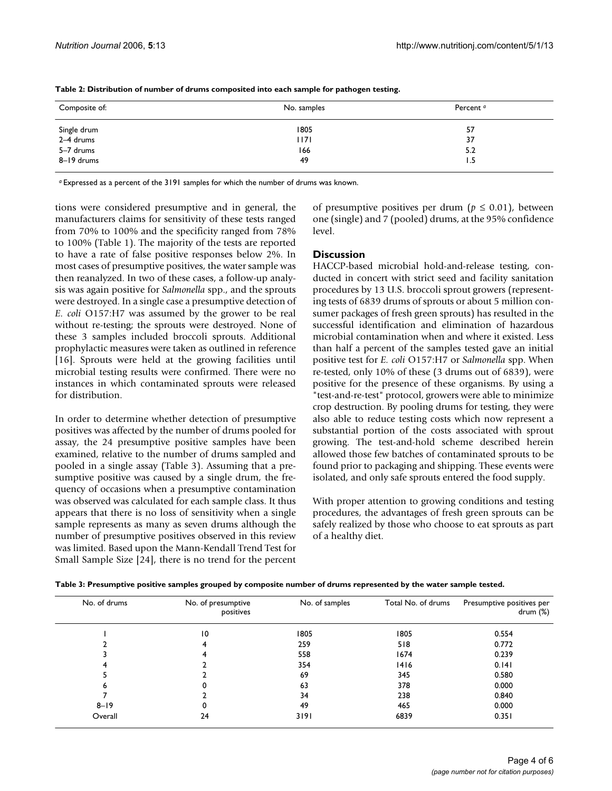| Composite of:            | No. samples | Percent <sup>a</sup> |  |
|--------------------------|-------------|----------------------|--|
|                          | 1805        | 57                   |  |
| Single drum<br>2–4 drums | 1171        | 37                   |  |
| 5-7 drums                | 166         | 5.2                  |  |
| 8-19 drums               | 49          | 1.5                  |  |

**Table 2: Distribution of number of drums composited into each sample for pathogen testing.**

*<sup>a</sup>*Expressed as a percent of the 3191 samples for which the number of drums was known.

tions were considered presumptive and in general, the manufacturers claims for sensitivity of these tests ranged from 70% to 100% and the specificity ranged from 78% to 100% (Table 1). The majority of the tests are reported to have a rate of false positive responses below 2%. In most cases of presumptive positives, the water sample was then reanalyzed. In two of these cases, a follow-up analysis was again positive for *Salmonella* spp., and the sprouts were destroyed. In a single case a presumptive detection of *E. coli* O157:H7 was assumed by the grower to be real without re-testing; the sprouts were destroyed. None of these 3 samples included broccoli sprouts. Additional prophylactic measures were taken as outlined in reference [16]. Sprouts were held at the growing facilities until microbial testing results were confirmed. There were no instances in which contaminated sprouts were released for distribution.

In order to determine whether detection of presumptive positives was affected by the number of drums pooled for assay, the 24 presumptive positive samples have been examined, relative to the number of drums sampled and pooled in a single assay (Table 3). Assuming that a presumptive positive was caused by a single drum, the frequency of occasions when a presumptive contamination was observed was calculated for each sample class. It thus appears that there is no loss of sensitivity when a single sample represents as many as seven drums although the number of presumptive positives observed in this review was limited. Based upon the Mann-Kendall Trend Test for Small Sample Size [24], there is no trend for the percent of presumptive positives per drum ( $p \le 0.01$ ), between one (single) and 7 (pooled) drums, at the 95% confidence level.

# **Discussion**

HACCP-based microbial hold-and-release testing, conducted in concert with strict seed and facility sanitation procedures by 13 U.S. broccoli sprout growers (representing tests of 6839 drums of sprouts or about 5 million consumer packages of fresh green sprouts) has resulted in the successful identification and elimination of hazardous microbial contamination when and where it existed. Less than half a percent of the samples tested gave an initial positive test for *E. coli* O157:H7 or *Salmonella* spp. When re-tested, only 10% of these (3 drums out of 6839), were positive for the presence of these organisms. By using a "test-and-re-test" protocol, growers were able to minimize crop destruction. By pooling drums for testing, they were also able to reduce testing costs which now represent a substantial portion of the costs associated with sprout growing. The test-and-hold scheme described herein allowed those few batches of contaminated sprouts to be found prior to packaging and shipping. These events were isolated, and only safe sprouts entered the food supply.

With proper attention to growing conditions and testing procedures, the advantages of fresh green sprouts can be safely realized by those who choose to eat sprouts as part of a healthy diet.

| No. of drums | No. of presumptive<br>positives | No. of samples | Total No. of drums | Presumptive positives per<br>drum (%) |
|--------------|---------------------------------|----------------|--------------------|---------------------------------------|
|              | $\overline{10}$                 | 1805           | 1805               | 0.554                                 |
|              | 4                               | 259            | 518                | 0.772                                 |
|              |                                 | 558            | 1674               | 0.239                                 |
|              |                                 | 354            | 1416               | 0.141                                 |
|              |                                 | 69             | 345                | 0.580                                 |
| 6            |                                 | 63             | 378                | 0.000                                 |
|              |                                 | 34             | 238                | 0.840                                 |
| $8 - 19$     | 0                               | 49             | 465                | 0.000                                 |
| Overall      | 24                              | 3191           | 6839               | 0.351                                 |

**Table 3: Presumptive positive samples grouped by composite number of drums represented by the water sample tested.**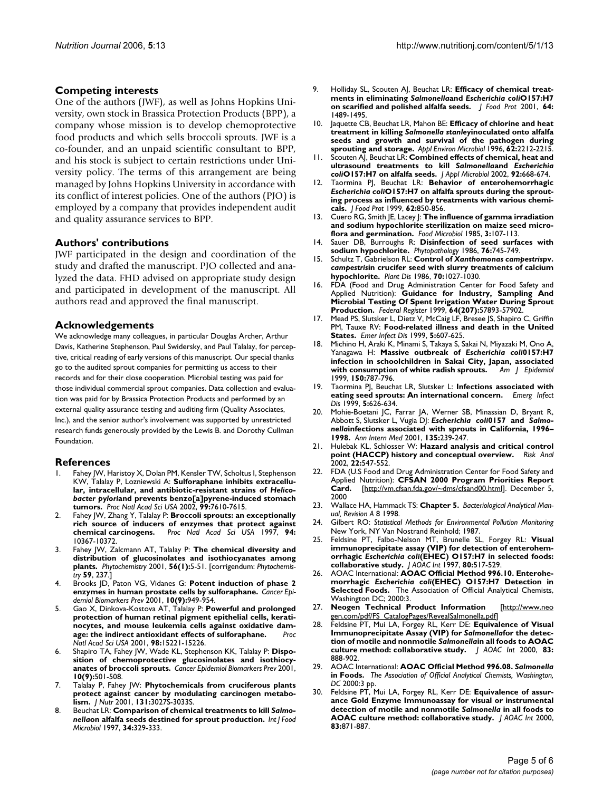# **Competing interests**

One of the authors (JWF), as well as Johns Hopkins University, own stock in Brassica Protection Products (BPP), a company whose mission is to develop chemoprotective food products and which sells broccoli sprouts. JWF is a co-founder, and an unpaid scientific consultant to BPP, and his stock is subject to certain restrictions under University policy. The terms of this arrangement are being managed by Johns Hopkins University in accordance with its conflict of interest policies. One of the authors (PJO) is employed by a company that provides independent audit and quality assurance services to BPP.

# **Authors' contributions**

JWF participated in the design and coordination of the study and drafted the manuscript. PJO collected and analyzed the data. FHD advised on appropriate study design and participated in development of the manuscript. All authors read and approved the final manuscript.

## **Acknowledgements**

We acknowledge many colleagues, in particular Douglas Archer, Arthur Davis, Katherine Stephenson, Paul Swidersky, and Paul Talalay, for perceptive, critical reading of early versions of this manuscript. Our special thanks go to the audited sprout companies for permitting us access to their records and for their close cooperation. Microbial testing was paid for those individual commercial sprout companies. Data collection and evaluation was paid for by Brassica Protection Products and performed by an external quality assurance testing and auditing firm (Quality Associates, Inc.), and the senior author's involvement was supported by unrestricted research funds generously provided by the Lewis B. and Dorothy Cullman Foundation.

## **References**

- Fahey JW, Haristoy X, Dolan PM, Kensler TW, Scholtus I, Stephenson KW, Talalay P, Lozniewski A: **Sulforaphane inhibits extracellular, intracellular, and antibiotic-resistant strains of** *Helicobacter pylori***[and prevents benzo\[a\]pyrene-induced stomach](http://www.ncbi.nlm.nih.gov/entrez/query.fcgi?cmd=Retrieve&db=PubMed&dopt=Abstract&list_uids=12032331) [tumors.](http://www.ncbi.nlm.nih.gov/entrez/query.fcgi?cmd=Retrieve&db=PubMed&dopt=Abstract&list_uids=12032331)** *Proc Natl Acad Sci USA* 2002, **99:**7610-7615.
- 2. Fahey JW, Zhang Y, Talalay P: **[Broccoli sprouts: an exceptionally](http://www.ncbi.nlm.nih.gov/entrez/query.fcgi?cmd=Retrieve&db=PubMed&dopt=Abstract&list_uids=9294217) [rich source of inducers of enzymes that protect against](http://www.ncbi.nlm.nih.gov/entrez/query.fcgi?cmd=Retrieve&db=PubMed&dopt=Abstract&list_uids=9294217) [chemical carcinogens.](http://www.ncbi.nlm.nih.gov/entrez/query.fcgi?cmd=Retrieve&db=PubMed&dopt=Abstract&list_uids=9294217)** *Proc Natl Acad Sci USA* 1997, **94:** 10367-10372.
- 3. Fahey JW, Zalcmann AT, Talalay P: **[The chemical diversity and](http://www.ncbi.nlm.nih.gov/entrez/query.fcgi?cmd=Retrieve&db=PubMed&dopt=Abstract&list_uids=11198818) [distribution of glucosinolates and isothiocyanates among](http://www.ncbi.nlm.nih.gov/entrez/query.fcgi?cmd=Retrieve&db=PubMed&dopt=Abstract&list_uids=11198818) [plants.](http://www.ncbi.nlm.nih.gov/entrez/query.fcgi?cmd=Retrieve&db=PubMed&dopt=Abstract&list_uids=11198818)** *Phytochemistry* 2001, **56(1):**5-51. [corrigendum: *Phytochemistry* **59**, 237.]
- 4. Brooks JD, Paton VG, Vidanes G: **[Potent induction of phase 2](http://www.ncbi.nlm.nih.gov/entrez/query.fcgi?cmd=Retrieve&db=PubMed&dopt=Abstract&list_uids=11535546) [enzymes in human prostate cells by sulforaphane.](http://www.ncbi.nlm.nih.gov/entrez/query.fcgi?cmd=Retrieve&db=PubMed&dopt=Abstract&list_uids=11535546)** *Cancer Epidemiol Biomarkers Prev* 2001, **10(9):**949-954.
- 5. Gao X, Dinkova-Kostova AT, Talalay P: **[Powerful and prolonged](http://www.ncbi.nlm.nih.gov/entrez/query.fcgi?cmd=Retrieve&db=PubMed&dopt=Abstract&list_uids=11752465) [protection of human retinal pigment epithelial cells, kerati](http://www.ncbi.nlm.nih.gov/entrez/query.fcgi?cmd=Retrieve&db=PubMed&dopt=Abstract&list_uids=11752465)nocytes, and mouse leukemia cells against oxidative dam[age: the indirect antioxidant effects of sulforaphane.](http://www.ncbi.nlm.nih.gov/entrez/query.fcgi?cmd=Retrieve&db=PubMed&dopt=Abstract&list_uids=11752465)** *Proc Natl Acad Sci USA* 2001, **98:**15221-15226.
- 6. Shapiro TA, Fahey JW, Wade KL, Stephenson KK, Talalay P: **[Dispo](http://www.ncbi.nlm.nih.gov/entrez/query.fcgi?cmd=Retrieve&db=PubMed&dopt=Abstract&list_uids=11352861)[sition of chemoprotective glucosinolates and isothiocy](http://www.ncbi.nlm.nih.gov/entrez/query.fcgi?cmd=Retrieve&db=PubMed&dopt=Abstract&list_uids=11352861)[anates of broccoli sprouts.](http://www.ncbi.nlm.nih.gov/entrez/query.fcgi?cmd=Retrieve&db=PubMed&dopt=Abstract&list_uids=11352861)** *Cancer Epidemiol Biomarkers Prev* 2001, **10(9):**501-508.
- 7. Talalay P, Fahey JW: **[Phytochemicals from cruciferous plants](http://www.ncbi.nlm.nih.gov/entrez/query.fcgi?cmd=Retrieve&db=PubMed&dopt=Abstract&list_uids=11694642) [protect against cancer by modulating carcinogen metabo](http://www.ncbi.nlm.nih.gov/entrez/query.fcgi?cmd=Retrieve&db=PubMed&dopt=Abstract&list_uids=11694642)[lism.](http://www.ncbi.nlm.nih.gov/entrez/query.fcgi?cmd=Retrieve&db=PubMed&dopt=Abstract&list_uids=11694642)** *J Nutr* 2001, **131:**3027S-3033S.
- 8. Beuchat LR: **Comparison of chemical treatments to kill** *Salmonella***[on alfalfa seeds destined for sprout production.](http://www.ncbi.nlm.nih.gov/entrez/query.fcgi?cmd=Retrieve&db=PubMed&dopt=Abstract&list_uids=9039577)** *Int J Food Microbiol* 1997, **34:**329-333.
- 9. Holliday SL, Scouten AJ, Beuchat LR: **Efficacy of chemical treatments in eliminating** *Salmonella***and** *Escherichia coli***[O157:H7](http://www.ncbi.nlm.nih.gov/entrez/query.fcgi?cmd=Retrieve&db=PubMed&dopt=Abstract&list_uids=11601695) [on scarified and polished alfalfa seeds.](http://www.ncbi.nlm.nih.gov/entrez/query.fcgi?cmd=Retrieve&db=PubMed&dopt=Abstract&list_uids=11601695)** *J Food Prot* 2001, **64:** 1489-1495.
- 10. Jaquette CB, Beuchat LR, Mahon BE: **Efficacy of chlorine and heat treatment in killing** *Salmonella stanley***[inoculated onto alfalfa](http://www.ncbi.nlm.nih.gov/entrez/query.fcgi?cmd=Retrieve&db=PubMed&dopt=Abstract&list_uids=8779558) [seeds and growth and survival of the pathogen during](http://www.ncbi.nlm.nih.gov/entrez/query.fcgi?cmd=Retrieve&db=PubMed&dopt=Abstract&list_uids=8779558) [sprouting and storage.](http://www.ncbi.nlm.nih.gov/entrez/query.fcgi?cmd=Retrieve&db=PubMed&dopt=Abstract&list_uids=8779558)** *Appl Environ Microbiol* 1996, **62:**2212-2215.
- 11. Scouten AJ, Beuchat LR: **Combined effects of chemical, heat and ultrasound treatments to kill** *Salmonella***and** *Escherichia coli***[O157:H7 on alfalfa seeds.](http://www.ncbi.nlm.nih.gov/entrez/query.fcgi?cmd=Retrieve&db=PubMed&dopt=Abstract&list_uids=11966907)** *J Appl Microbiol* 2002, **92:**668-674.
- 12. Taormina PJ, Beuchat LR: **Behavior of enterohemorrhagic** *Escherichia coli***[O157:H7 on alfalfa sprouts during the sprout](http://www.ncbi.nlm.nih.gov/entrez/query.fcgi?cmd=Retrieve&db=PubMed&dopt=Abstract&list_uids=10456735)[ing process as influenced by treatments with various chemi](http://www.ncbi.nlm.nih.gov/entrez/query.fcgi?cmd=Retrieve&db=PubMed&dopt=Abstract&list_uids=10456735)[cals.](http://www.ncbi.nlm.nih.gov/entrez/query.fcgi?cmd=Retrieve&db=PubMed&dopt=Abstract&list_uids=10456735)** *J Food Prot* 1999, **62:**850-856.
- 13. Cuero RG, Smith JE, Lacey J: **The influence of gamma irradiation and sodium hypochlorite sterilization on maize seed microflora and germination.** *Food Microbiol* 1985, **3:**107-113.
- 14. Sauer DB, Burroughs R: **Disinfection of seed surfaces with sodium hypochlorite.** *Phytopathology* 1986, **76:**745-749.
- 15. Schultz T, Gabrielson RL: **Control of** *Xanthomonas campestris***pv.** *campestris***in crucifer seed with slurry treatments of calcium hypochlorite.** *Plant Dis* 1986, **70:**1027-1030.
- 16. FDA (Food and Drug Administration Center for Food Safety and Applied Nutrition): **Guidance for Industry, Sampling And Microbial Testing Of Spent Irrigation Water During Sprout Production.** *Federal Register* 1999, **64(207):**57893-57902.
- 17. Mead PS, Slutsker L, Dietz V, McCaig LF, Bresee JS, Shapiro C, Griffin PM, Tauxe RV: **Food-related illness and death in the United States.** *Emer Infect Dis* 1999, **5:**607-625.
- 18. Michino H, Araki K, Minami S, Takaya S, Sakai N, Miyazaki M, Ono A, Yanagawa H: **Massive outbreak of** *Escherichia coli***[0157:H7](http://www.ncbi.nlm.nih.gov/entrez/query.fcgi?cmd=Retrieve&db=PubMed&dopt=Abstract&list_uids=10522649) [infection in schoolchildren in Sakai City, Japan, associated](http://www.ncbi.nlm.nih.gov/entrez/query.fcgi?cmd=Retrieve&db=PubMed&dopt=Abstract&list_uids=10522649) [with consumption of white radish sprouts.](http://www.ncbi.nlm.nih.gov/entrez/query.fcgi?cmd=Retrieve&db=PubMed&dopt=Abstract&list_uids=10522649)** *Am J Epidemiol* 1999, **150:**787-796.
- 19. Taormina PJ, Beuchat LR, Slutsker L: **[Infections associated with](http://www.ncbi.nlm.nih.gov/entrez/query.fcgi?cmd=Retrieve&db=PubMed&dopt=Abstract&list_uids=10511518) [eating seed sprouts: An international concern.](http://www.ncbi.nlm.nih.gov/entrez/query.fcgi?cmd=Retrieve&db=PubMed&dopt=Abstract&list_uids=10511518)** *Emerg Infect Dis* 1999, **5:**626-634.
- 20. Mohie-Boetani JC, Farrar JA, Werner SB, Minassian D, Bryant R, Abbott S, Slutsker L, Vugia DJ: *Escherichia coli***0157 and** *Salmonella***[infections associated with sprouts in California, 1996–](http://www.ncbi.nlm.nih.gov/entrez/query.fcgi?cmd=Retrieve&db=PubMed&dopt=Abstract&list_uids=11511138) [1998.](http://www.ncbi.nlm.nih.gov/entrez/query.fcgi?cmd=Retrieve&db=PubMed&dopt=Abstract&list_uids=11511138)** *Ann Intern Med* 2001, **135:**239-247.
- 21. Hulebak KL, Schlosser W: **[Hazard analysis and critical control](http://www.ncbi.nlm.nih.gov/entrez/query.fcgi?cmd=Retrieve&db=PubMed&dopt=Abstract&list_uids=12088233) [point \(HACCP\) history and conceptual overview.](http://www.ncbi.nlm.nih.gov/entrez/query.fcgi?cmd=Retrieve&db=PubMed&dopt=Abstract&list_uids=12088233)** *Risk Anal* 2002, **22:**547-552.
- 22. FDA (U.S Food and Drug Administration Center for Food Safety and Applied Nutrition): **CFSAN 2000 Program Priorities Report** Card. [[http://vm.cfsan.fda.gov/~dms/cfsand00.html\]](http://vm.cfsan.fda.gov/~dms/cfsand00.html). December 5, 2000
- 23. Wallace HA, Hammack TS: **Chapter 5.** *Bacteriological Analytical Manual, Revision A* 8 1998.
- 24. Gilbert RO: *Statistical Methods for Environmental Pollution Monitoring* New York, NY Van Nostrand Reinhold; 1987.
- 25. Feldsine PT, Falbo-Nelson MT, Brunelle SL, Forgey RL: **Visual immunoprecipitate assay (VIP) for detection of enterohemorrhagic** *Escherichia coli***[\(EHEC\) O157:H7 in selected foods:](http://www.ncbi.nlm.nih.gov/entrez/query.fcgi?cmd=Retrieve&db=PubMed&dopt=Abstract&list_uids=9170651) [collaborative study.](http://www.ncbi.nlm.nih.gov/entrez/query.fcgi?cmd=Retrieve&db=PubMed&dopt=Abstract&list_uids=9170651)** *J AOAC Int* 1997, **80:**517-529.
- 26. AOAC International: **AOAC Official Method 996.10. Enterohemorrhagic** *Escherichia coli***(EHEC) O157:H7 Detection in Selected Foods.** The Association of Official Analytical Chemists, Washington DC; 2000:3.
- 27. **Neogen Technical Product Information** [\[http://www.neo](http://www.neogen.com/pdf/FS_CatalogPages/RevealSalmonella.pdf) [gen.com/pdf/FS\\_CatalogPages/RevealSalmonella.pdf](http://www.neogen.com/pdf/FS_CatalogPages/RevealSalmonella.pdf)]
- 28. Feldsine PT, Mui LA, Forgey RL, Kerr DE: **Equivalence of Visual Immunoprecipitate Assay (VIP) for** *Salmonella***for the detection of motile and nonmotile** *Salmonella***[in all foods to AOAC](http://www.ncbi.nlm.nih.gov/entrez/query.fcgi?cmd=Retrieve&db=PubMed&dopt=Abstract&list_uids=10995114) [culture method: collaborative study.](http://www.ncbi.nlm.nih.gov/entrez/query.fcgi?cmd=Retrieve&db=PubMed&dopt=Abstract&list_uids=10995114)** *J AOAC Int* 2000, **83:** 888-902.
- 29. AOAC International: **AOAC Official Method 996.08.** *Salmonella* **in Foods.** *The Association of Official Analytical Chemists, Washington, DC* 2000:3 pp.
- 30. Feldsine PT, Mui LA, Forgey RL, Kerr DE: **Equivalence of assurance Gold Enzyme Immunoassay for visual or instrumental detection of motile and nonmotile** *Salmonella* **[in all foods to](http://www.ncbi.nlm.nih.gov/entrez/query.fcgi?cmd=Retrieve&db=PubMed&dopt=Abstract&list_uids=10995113) [AOAC culture method: collaborative study.](http://www.ncbi.nlm.nih.gov/entrez/query.fcgi?cmd=Retrieve&db=PubMed&dopt=Abstract&list_uids=10995113)** *J AOAC Int* 2000, **83:**871-887.